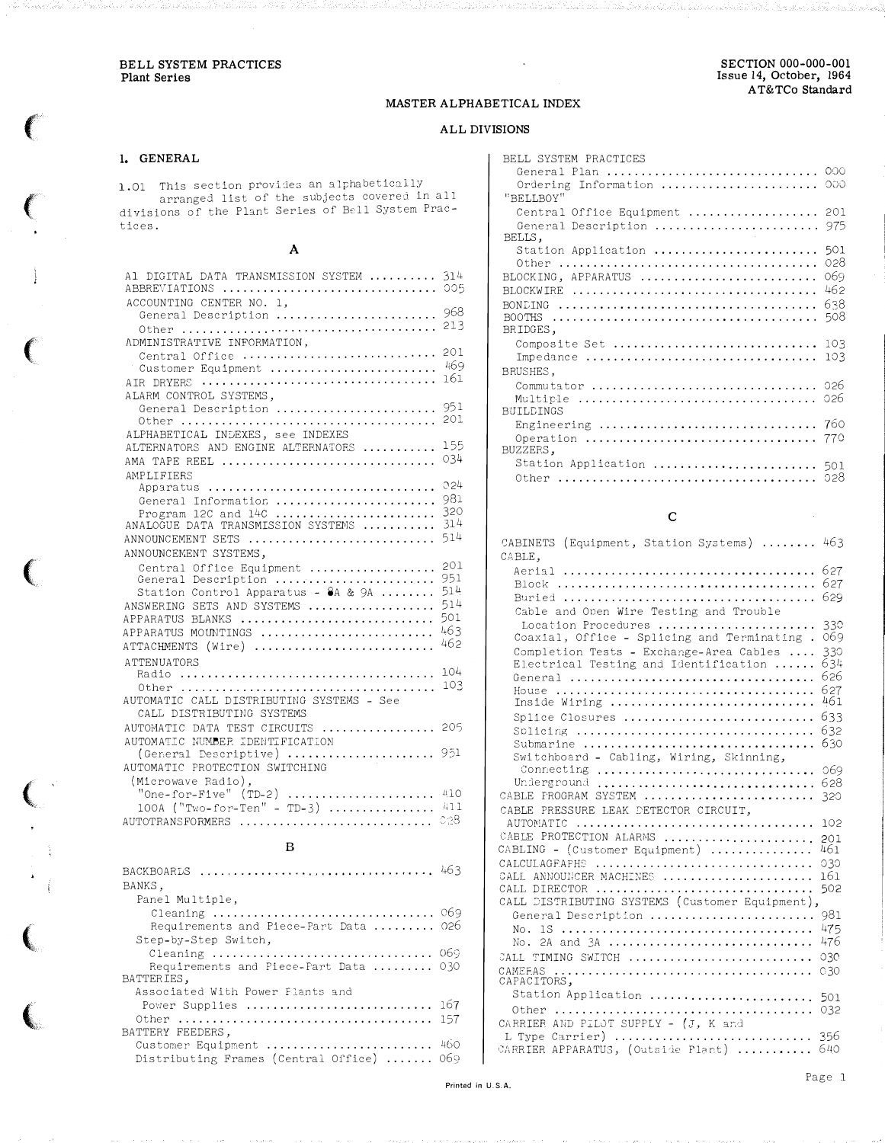#### MASTER ALPHABETICAL INDEX

## ALL DIVISIONS

## 1. GENERAL

1.01 This section provides an alphabetically<br>arranged list of the subjects covered in all<br>divisions of the Plant Series of Bell System Practices.

## $\boldsymbol{\rm{A}}$

| Al DIGITAL DATA TRANSMISSION SYSTEM<br>ABBREVIATIONS  005                                                                                                                             | 314                                           |
|---------------------------------------------------------------------------------------------------------------------------------------------------------------------------------------|-----------------------------------------------|
| ACCOUNTING CENTER NO. 1.<br>General Description                                                                                                                                       | 968<br>213                                    |
| ADMINISTRATIVE INFORMATION,<br>Central Office<br>Customer Equipment<br>AIR DRYERS                                                                                                     | 201<br>469<br>161                             |
| ALARM CONTROL SYSTEMS.<br>General Description                                                                                                                                         | 951<br>201                                    |
| ALPHABETICAL INDEXES, see INDEXES<br>ALTERNATORS AND ENGINE ALTERNATORS<br>AMA TAPE REEL                                                                                              | 155<br>034                                    |
| AMPLIFTERS<br>Apparatus<br>General Information<br>Program 12C and $14C$<br>ANALOGUE DATA TRANSMISSION SYSTEMS<br>ANNOUNCEMENT SETS<br>ANNOUNCEMENT SYSTEMS.                           | 024<br>981<br>320<br>314<br>514               |
| Central Office Equipment<br>General Description<br>Station Control Apparatus - 8A & 9A<br>ANSWERING SETS AND SYSTEMS<br>APPARATUS BLANKS<br>APPARATUS MOUNTINGS<br>ATTACHMENTS (Wire) | 201<br>951<br>514<br>514<br>501<br>463<br>462 |
| <b>ATTENUATORS</b><br>AUTOMATIC CALL DISTRIBUTING SYSTEMS - See<br>CALL DISTRIBUTING SYSTEMS                                                                                          | 104<br>103                                    |
| AUTOMATIC DATA TEST CIRCUITS  205<br>AUTOMATIC NUMBER IDENTIFICATION<br>(General Descriptive)  951<br>AUTOMATIC PROTECTION SWITCHING                                                  |                                               |
| (Microwave Radio),<br>$100A$ ("Two-for-Ten" - TD-3)  411<br>AUTOTRANSFORMERS                                                                                                          | 028                                           |

#### $\mathbf{B}$

| BANKS.                                    |     |
|-------------------------------------------|-----|
| Panel Multiple,                           |     |
| Cleaning  069                             |     |
| Requirements and Piece-Part Data  026     |     |
| Step-by-Step Switch,                      |     |
| Cleaning  069                             |     |
| Requirements and Piece-Fart Data  030     |     |
| BATTERIES,                                |     |
| Associated With Power Flants and          |     |
| Power Supplies $167$                      |     |
|                                           | 157 |
| BATTERY FEEDERS.                          |     |
| Customer Equipment  460                   |     |
| Distributing Frames (Central Office)  069 |     |

| BELL SYSTEM PRACTICES<br>General Plan<br>Ordering Information<br>"BELLBOY" | 000<br>റററ                             |
|----------------------------------------------------------------------------|----------------------------------------|
| Central Office Equipment  201<br>General Description<br>BELLS,             | 975                                    |
| Station Application<br>Other<br>BLOCKING, APPARATUS<br>BOOTHS<br>BRIDGES,  | 501<br>028<br>069<br>462<br>638<br>508 |
| Composite Set<br>Impedance                                                 | 103<br>103                             |
| BRUSHES,<br>Commutator<br><b>BUILDINGS</b>                                 | 026<br>026                             |
| Engineering<br>BUZZERS,                                                    | 760                                    |
| Station Application  501<br>Other                                          | 028                                    |

## $\mathbf{C}$

| CABINETS (Equipment, Station Systems) $\ldots \ldots$ 463 |            |
|-----------------------------------------------------------|------------|
| CABLE.                                                    |            |
|                                                           | 627        |
|                                                           | 627        |
|                                                           | 629        |
| Cable and Open Wire Testing and Trouble                   |            |
| Location Procedures                                       | 330        |
| Coaxial, Office - Splicing and Terminating.               | 069        |
| Completion Tests - Exchange-Area Cables                   | 330        |
| Electrical Testing and Identification                     | 634        |
|                                                           | 626        |
|                                                           | 627        |
| Inside Wiring                                             | 461        |
| Splice Closures                                           | 633        |
|                                                           | 632        |
| Submarine                                                 | 630        |
| Switchboard - Cabling, Wiring, Skinning,                  |            |
| Connecting                                                | 069        |
| Underground                                               | 628        |
| CABLE FROGRAM SYSTEM                                      | 320        |
| CABLE PRESSURE LEAK DETECTOR CIRCUIT,                     |            |
| AUTOMATIC                                                 | 102        |
| CABLE PROTECTION ALARMS                                   | 201        |
| CABLING - (Customer Equipment)                            | 461        |
| CALCULAGEAPHS<br>CALL ANNOUNCER MACHINES                  | 030<br>161 |
| CALL DIRECTOR                                             | 502        |
| CALL DISTRIBUTING SYSTEMS (Customer Equipment),           |            |
| General Description                                       | 981        |
|                                                           | 475        |
| No. 2A and $3A$                                           | 476        |
| CALL TIMING SWITCH                                        | 030        |
| CAMEEAS                                                   | 030        |
| CAPACITORS,                                               |            |
| Station Application  501                                  |            |
|                                                           |            |
| CARRIER AND PILOT SUPPLY - (J, K and                      |            |
| L Type Carrier)  356                                      |            |
| CARRIER APPARATUS, (Outside Plant)                        | 640        |
|                                                           |            |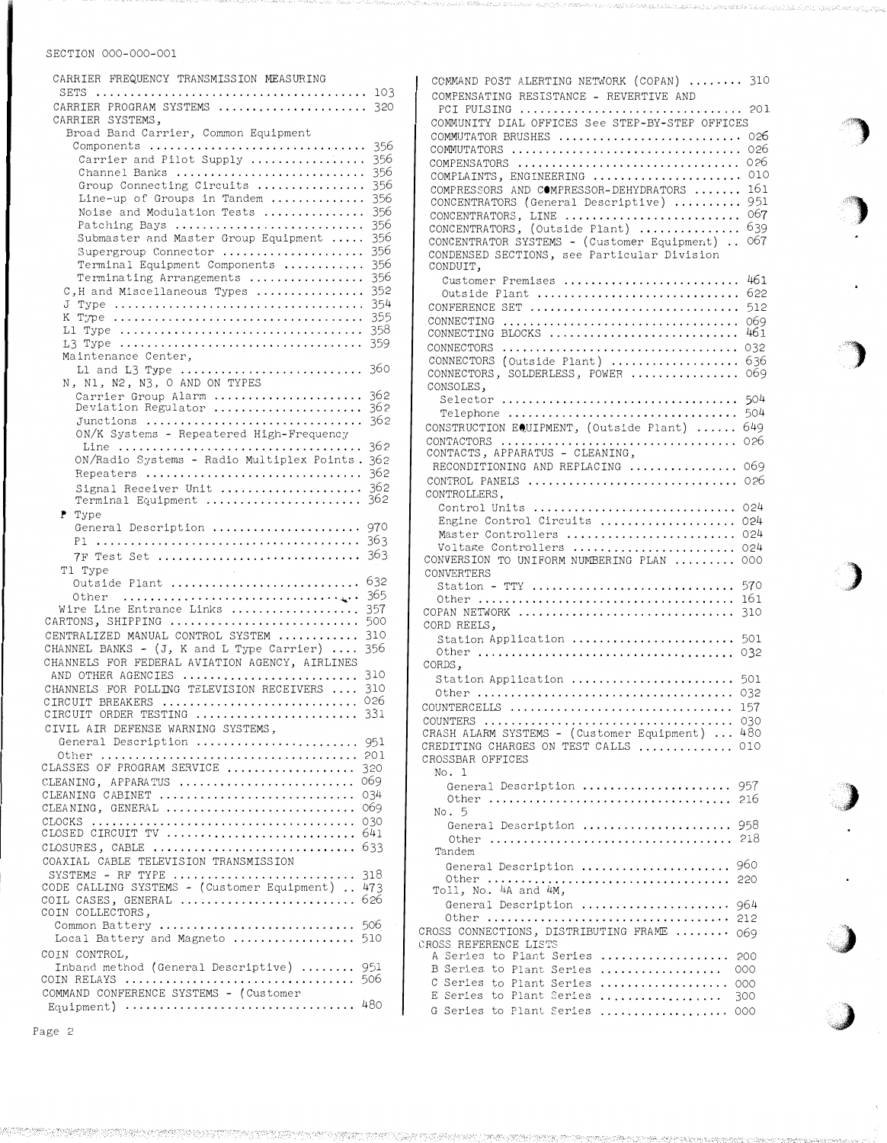| CARRIER FREQUENCY TRANSMISSION MEASURING<br>SETS                               | 103        |
|--------------------------------------------------------------------------------|------------|
| CARRIER PROGRAM SYSTEMS                                                        | 320        |
| CARRIER SYSTEMS,<br>Broad Band Carrier, Common Equipment                       |            |
| Components                                                                     | 356        |
| Carrier and Pilot Supply<br>Channel Banks                                      | 356<br>356 |
| Group Connecting Circuits                                                      | 356        |
| Line-up of Groups in Tandem<br>Noise and Modulation Tests                      | 356<br>356 |
| Patching Bays                                                                  | 356        |
| Submaster and Master Group Equipment                                           | 356        |
| Supergroup Connector<br>Terminal Equipment Components                          | 356<br>356 |
| Terminating Arrangements                                                       | 356        |
| C, H and Miscellaneous Types<br>J                                              | 352<br>354 |
|                                                                                | 355        |
|                                                                                | 358<br>359 |
| Maintenance Center,                                                            |            |
| L1 and L3 Type                                                                 | 360        |
| N, N1, N2, N3, O AND ON TYPES<br>Carrier Group Alarm                           | 362        |
| Deviation Regulator                                                            | 362        |
| Junctions<br>ON/K Systems - Repeatered High-Frequency                          | 362        |
|                                                                                | 362        |
| ON/Radio Systems - Radio Multiplex Points.<br>Repeaters                        | 362<br>362 |
| Signal Receiver Unit                                                           | 362        |
| Terminal Equipment<br>P Type                                                   | 362        |
| General Description                                                            | 970        |
|                                                                                | 363        |
| 7F Test Set<br>T1 Type                                                         | 363        |
| Outside Plant                                                                  | 632        |
| Other<br>Wire Line Entrance Links                                              | 365<br>357 |
| CARTONS, SHIPPING                                                              | 500        |
| CENTRALIZED MANUAL CONTROL SYSTEM<br>CHANNEL BANKS - (J, K and L Type Carrier) | 310<br>356 |
| CHANNELS FOR FEDERAL AVIATION AGENCY, AIRLINES                                 |            |
| AND OTHER AGENCIES<br>CHANNELS FOR POLLING TELEVISION RECEIVERS<br>$\cdots$    | 310<br>310 |
| CIRCUIT BREAKERS                                                               | 026        |
| CIRCUIT ORDER TESTING                                                          | 331        |
| CIVIL AIR DEFENSE WARNING SYSTEMS,<br>General Description                      | 951        |
|                                                                                |            |
| CLASSES OF PROGRAM SERVICE<br>CLEANING, APPARATUS                              | 320<br>069 |
| CLEANING CABINET                                                               | 034        |
| CLEANING, GENERAL<br>CLOCKS                                                    | 069<br>030 |
|                                                                                |            |
| CLOSURES, CABLE<br>COAXIAL CABLE TELEVISION TRANSMISSION                       | 633        |
| SYSTEMS - RF TYPE                                                              | 318        |
| CODE CALLING SYSTEMS - (Customer Equipment)<br>COIL CASES, GENERAL             | 473<br>626 |
| COIN COLLECTORS,                                                               |            |
| Common Battery  506<br>Local Battery and Magneto                               | 510        |
| COIN CONTROL,                                                                  |            |
| Inband method (General Descriptive)                                            | 951        |
| COIN RELAYS<br>COMMAND CONFERENCE SYSTEMS - (Customer                          | 506        |
|                                                                                |            |
|                                                                                |            |

COMMAND POST ALERTING NETWORK (COPAN) ....... 310 COMPENSATING RESISTANCE - REVERTIVE AND PCI PU LSING ..... .. ............. . ..... . . . .. .. 201 COMMUNITY DIAL OFFICES See STEP-BY-STEP OFFICES COMMUTATOR BRUSHES . . .... . ...... . ............ . 026 COMMUTATORS . . . ....... ...... .................. 026 026 COMPENSATORS ................................ . 010 COMPLAINTS, ENGINEERING ..................... . COMPRESSORS AND COMPRESSOR-DEHYDRATORS ...... 161 CONCENTRATORS (General Descriptive) .......... 951 CONCENTRATORS, LINE ............................. 067 CONCENTRATORS, (Outside Plant) ............... 639 067 CONCENTRATOR SYSTEMS - ( Customer Equipment) .. CONDENSED SECTIONS, see Particular Division CONDUIT, Customer Premises ........................... 461 Outside Plant ................................... 622 CONFERENCE SET . . . . . . . . . . . . . . . . . . . . . . . . . . . . . . . 512 CONNECTING . . . . . . . . . . . . . . . . . . . . . . . . . . . . . . . . . . . 069 CONNECTING BLOCKS ............................ 461 CONNECTORS ........... . . ............. . . . . ..... 032 CONNECTORS (Outside Plant) ................... 636 CONNECTORS, SOLDERLESS, POWER . . . ............. 069 CONSOLES, Selector ................................... 504 Telephone  $\ldots \ldots \ldots \ldots \ldots \ldots \ldots \ldots \ldots \ldots \ldots \ldots \ldots \, 504$ CONSTRUCTION EQUIPMENT, ( Outside Plant) ...... 649 CONTACTORS ......... .......................... 026 CONTACTS, APPARATUS - CLEANING, RECONDITIONING AND REPLACING ................. 069 CON'l'ROL PANELS . ........................ . . . ... 026 CONTROLLERS, Control Units .............................. 024 Engine Control Circuits ..................... 024 Master Controllers . ........................ 024 Voltage Controllers ........................... 024 CONVERSION TO UNIFORM NUMBERING PLAN . . . . . . . . . 000 **CONVERTERS** Station - TTY .... . ............... .. . . . ..... 570 Other . . ..... . . . . ............. . ..... . ....... 161 COPAN NETWORK ................................... 310 CORD REELS, Station Application ......................... 501 Other ... ................. ... ....... .... ..•. 032 CORDS, Station Application ............................ 501 Other ................... . ......... . ........ 032 COUNTERCELLS . . . . . . . . . . . . . . . . . . . . . . . . . . . . . . . . . 157 COUNTERS . . . . . . . . . . . . . . . . . . . . . . . . . . . . . . . . . . . . . 0 30 CRASH ALARM SYSTEMS - (Customer Equipment) ... 480 CREDITING CHARGES ON TEST CALLS .............. 010 CROSSBAR OFFICES No. 1 General Description ...................... 957 Other ........ ....... ...... .............. . 216 No. 5 General Description ....................... 958 Other ........ .......... . ............. . ... 218 Tandem General Description ............................... 960 Other ................ . ................... 220 Toll, No. 4A and 4M, General Description ...................... 964 Other ................................... . 212 CROSS CONNECTIONS, DISTRIBUTING FRAME ....... . 069 CROSS REFERENCE LISTS A Series to Plant Series .................... 200 B Series to Plant Series ................... 000 C Series to Plant Series .................. . 000 E Series to Plant Series G Series to Plant Series 000 300

,,�� •. ,

'')

,)

' ,,

 $\sim$  ,  $\sim$  ,  $\sim$  ,  $\sim$  ,  $\sim$  ,  $\sim$  ,  $\sim$  ,  $\sim$  ,  $\sim$  ,  $\sim$  ,  $\sim$  ,  $\sim$  ,  $\sim$  ,  $\sim$  ,  $\sim$  ,  $\sim$  ,  $\sim$  ,  $\sim$  ,  $\sim$  ,  $\sim$  ,  $\sim$  ,  $\sim$  ,  $\sim$  ,  $\sim$  ,  $\sim$  ,  $\sim$  ,  $\sim$  ,  $\sim$  ,  $\sim$  ,  $\sim$  ,  $\sim$  ,  $\sim$ 

 $\overline{\phantom{a}}$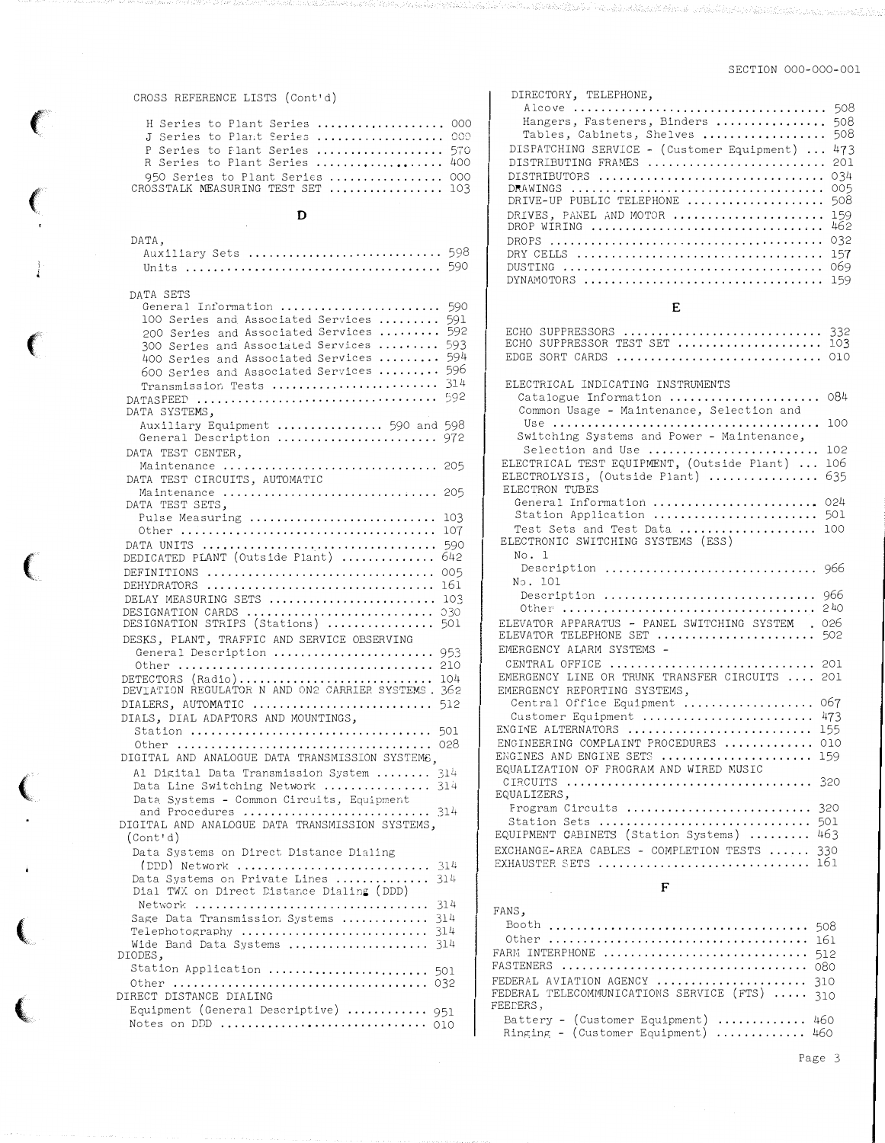#### CROSS REFERENCE LISTS (Cont'd)

| H Series to Plant Series  000     |  |  |  |  |
|-----------------------------------|--|--|--|--|
| J Series to Plant Series  000     |  |  |  |  |
| P Series to Flant Series  570     |  |  |  |  |
| R Series to Plant Series  400     |  |  |  |  |
| $950$ Series to Plant Series  000 |  |  |  |  |
| CROSSTALK MEASURING TEST SET  103 |  |  |  |  |

#### $\mathbf D$

| DATA, |  |                     |  |
|-------|--|---------------------|--|
|       |  | Auxiliary Sets  598 |  |
|       |  |                     |  |

| DATA SETS                                                                       |            |
|---------------------------------------------------------------------------------|------------|
| General Information                                                             | 59C        |
| 100 Series and Associated Services                                              | 591        |
| 200 Series and Associated Services                                              | 592        |
| 300 Series and Associated Services                                              | 593        |
| 400 Series and Associated Services                                              | 594<br>596 |
| 600 Series and Associated Services                                              | 314        |
| Transmission Tests                                                              | 592        |
| DATA SYSTEMS,                                                                   |            |
| Auxiliary Equipment  590 and 598                                                |            |
| General Description  972                                                        |            |
| DATA TEST CENTER.                                                               |            |
| Maintenance  205                                                                |            |
| DATA TEST CIRCUITS, AUTOMATIC                                                   |            |
| Maintenance  205                                                                |            |
| DATA TEST SETS,                                                                 |            |
| Pulse Measuring                                                                 | 103        |
|                                                                                 | 107        |
| DATA UNITS                                                                      | 590        |
| DEDICATED PLANT (Outside Plant)                                                 | 642        |
| DEFINITIONS                                                                     | 005        |
| DEHYDRATORS                                                                     | 161        |
| DELAY MEASURING SETS                                                            | 103        |
| DESIGNATION CARDS<br>DESIGNATION STRIPS (Stations)                              | 030<br>501 |
| DESKS, PLANT, TRAFFIC AND SERVICE OBSERVING                                     |            |
| General Description                                                             | 953        |
|                                                                                 | 210        |
| DETECTORS (Radio) 104<br>DEVIATION REGULATOR N AND ON2 CARRIER SYSTEMS. 362     |            |
|                                                                                 | 512        |
| DIALERS, AUTOMATIC<br>DIALS, DIAL ADAPTORS AND MOUNTINGS,                       |            |
|                                                                                 |            |
|                                                                                 |            |
| DIGITAL AND ANALOGUE DATA TRANSMISSION SYSTEMS,                                 |            |
| Al Digital Data Transmission System                                             | 314        |
| Data Line Switching Network  314                                                |            |
| Data Systems - Common Circuits, Equipment                                       |            |
| and Procedures $\ldots \ldots \ldots \ldots \ldots \ldots \ldots \ldots \;$ 314 |            |
| DIGITAL AND ANALOGUE DATA TRANSMISSION SYSTEMS,                                 |            |
| (Cont'd)                                                                        |            |
| Data Systems on Direct Distance Dialing                                         |            |
| $(DDD)$ Network                                                                 | 314        |
| Data Systems on Private Lines                                                   | 314        |
| Dial TWX on Direct Distance Dialing (DDD)                                       |            |
| Network                                                                         | 314        |
| Sage Data Transmission Systems                                                  | 314<br>314 |
| Wide Band Data Systems                                                          | 314        |
| DIODES,                                                                         |            |
| Station Application                                                             | 501        |
|                                                                                 |            |
| DIRECT DISTANCE DIALING                                                         |            |
| Equipment (General Descriptive)  951                                            |            |
|                                                                                 |            |

in parti kata kata yang kalendar dan kalendar dan ka

| DIRECTORY, TELEPHONE,                                                                                                                                                                                                                                                                                                                |  |
|--------------------------------------------------------------------------------------------------------------------------------------------------------------------------------------------------------------------------------------------------------------------------------------------------------------------------------------|--|
| 508<br>Hangers, Fasteners, Binders<br>508<br>Tables, Cabinets, Shelves<br>508<br>DISPATCHING SERVICE - (Customer Equipment)<br>473<br>DISTRIBUTING FRAMES<br>201<br>034<br>DISTRIBUTORS<br>005<br>DRIVE-UP PUBLIC TELEPHONE<br>508<br>DRIVES, PANEL AND MOTOR<br>159<br>462<br>DROP WIRING<br>032<br>157<br>069<br>159<br>DYNAMOTORS |  |
| E                                                                                                                                                                                                                                                                                                                                    |  |
| ECHO SUPPRESSORS<br>332<br>ECHO SUPPRESSOR TEST SET<br>103<br>$EDGE$ SORT CARDS $\ldots \ldots \ldots \ldots \ldots \ldots \ldots \ldots \ldots$<br>010                                                                                                                                                                              |  |
| ELECTRICAL INDICATING INSTRUMENTS                                                                                                                                                                                                                                                                                                    |  |
| 084<br>Catalogue Information<br>Common Usage - Maintenance, Selection and                                                                                                                                                                                                                                                            |  |
| 100                                                                                                                                                                                                                                                                                                                                  |  |
| Switching Systems and Power - Maintenance,<br>Selection and Use<br>102                                                                                                                                                                                                                                                               |  |
| ELECTRICAL TEST EQUIPMENT, (Outside Plant)<br>106                                                                                                                                                                                                                                                                                    |  |
| 635<br>ELECTROLYSIS, (Outside Plant)<br>ELECTRON TUBES                                                                                                                                                                                                                                                                               |  |
| General Information<br>024                                                                                                                                                                                                                                                                                                           |  |
| Station Application<br>501<br>Test Sets and Test Data<br>100                                                                                                                                                                                                                                                                         |  |
| ELECTRONIC SWITCHING SYSTEMS (ESS)                                                                                                                                                                                                                                                                                                   |  |
| No. 1<br>Description  966                                                                                                                                                                                                                                                                                                            |  |
| No. 101                                                                                                                                                                                                                                                                                                                              |  |
| Description  966                                                                                                                                                                                                                                                                                                                     |  |
| ELEVATOR APPARATUS - PANEL SWITCHING SYSTEM<br>026                                                                                                                                                                                                                                                                                   |  |
| ELEVATOR TELEPHONE SET  502                                                                                                                                                                                                                                                                                                          |  |
| EMERGENCY ALARM SYSTEMS -<br>CENTRAL OFFICE  201                                                                                                                                                                                                                                                                                     |  |
| EMERGENCY LINE OR TRUNK TRANSFER CIRCUITS  201                                                                                                                                                                                                                                                                                       |  |
| EMERGENCY REPORTING SYSTEMS,<br>Central Office Equipment  067                                                                                                                                                                                                                                                                        |  |
| Customer Equipment<br>473                                                                                                                                                                                                                                                                                                            |  |
| ENGINE ALTERNATORS<br>155<br>ENGINEERING COMPLAINT PROCEDURES<br>010                                                                                                                                                                                                                                                                 |  |
| ENGINES AND ENGINE SETS<br>159                                                                                                                                                                                                                                                                                                       |  |
| EQUALIZATION OF PROGRAM AND WIRED MUSIC<br>320                                                                                                                                                                                                                                                                                       |  |
| EQUALIZERS,                                                                                                                                                                                                                                                                                                                          |  |
| Frogram Circuits<br>320<br>Station Sets                                                                                                                                                                                                                                                                                              |  |
| 501<br>EQUIPMENT CABINETS (Station Systems)  463                                                                                                                                                                                                                                                                                     |  |
| EXCHANGE-AREA CABLES - COMPLETION TESTS  330                                                                                                                                                                                                                                                                                         |  |
| EXHAUSTER SETS  161                                                                                                                                                                                                                                                                                                                  |  |

#### $\mathbf F$

## FANS, FEEDERS, Battery - (Customer Equipment) .............. 460<br>Ringing - (Customer Equipment) .............. 460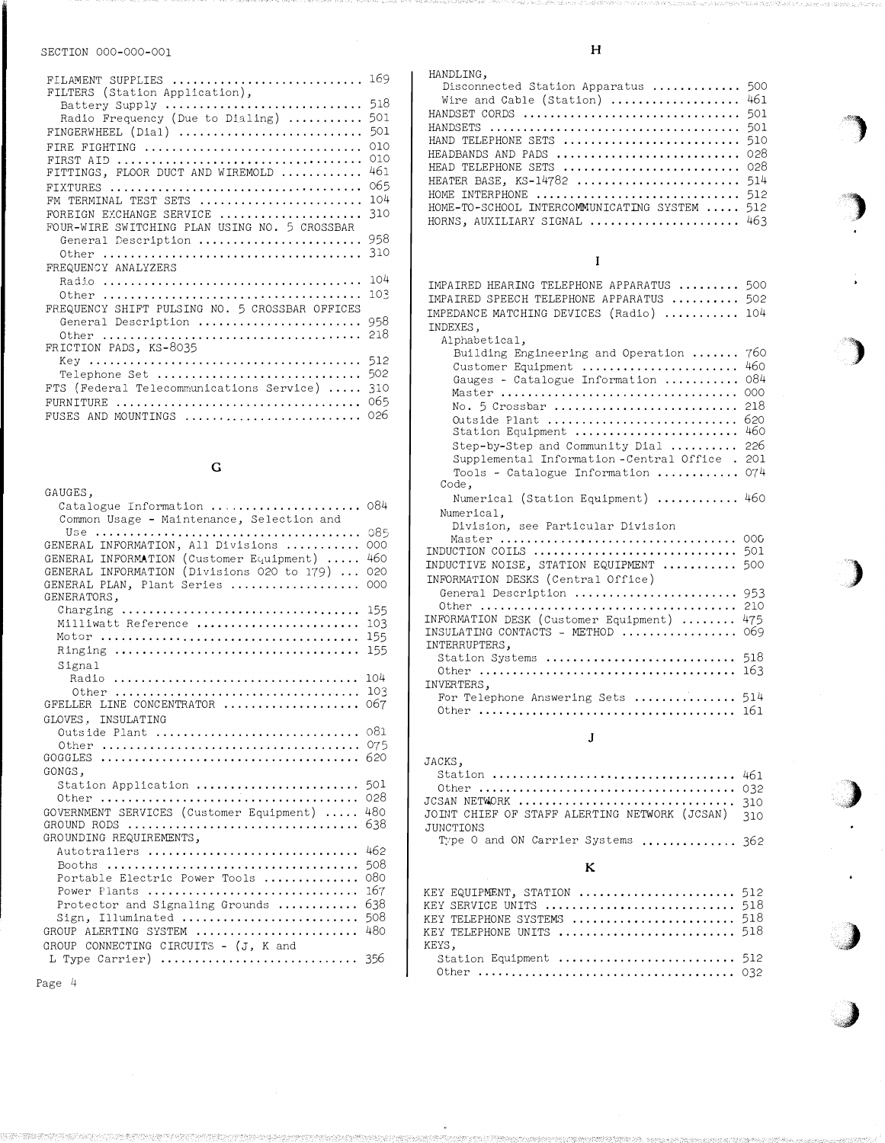| FILAMENT SUPPLIES  169<br>FILTERS (Station Application),                                           |                          |
|----------------------------------------------------------------------------------------------------|--------------------------|
| Battery Supply<br>Radio Frequency (Due to Dialing)<br>FINGERWHEEL (Dial)                           | 518<br>501<br>501        |
| FIRE FIGHTING<br>FITTINGS, FLOOR DUCT AND WIREMOLD                                                 | 010<br>010<br>461<br>065 |
| FM TERMINAL TEST SETS<br>FOREIGN EXCHANGE SERVICE<br>FOUR-WIRE SWITCHING PLAN USING NO. 5 CROSSBAR | 104<br>310               |
| General Description<br>FREQUENCY ANALYZERS                                                         | 958<br>310               |
| FREQUENCY SHIFT PULSING NO. 5 CROSSBAR OFFICES                                                     | 104<br>103               |
| General Description<br>FRICTION PADS, KS-8035                                                      | 958<br>218               |
| Telephone Set<br>FTS (Federal Telecommunications Service)                                          | 512<br>502<br>310<br>065 |
| FURNITURE<br>FUSES AND MOUNTINGS                                                                   | 026                      |

# G

| GAUGES.                                                                  |            |
|--------------------------------------------------------------------------|------------|
| Catalogue Information<br>Common Usage - Maintenance, Selection and       | 084        |
| Use                                                                      | 085        |
| GENERAL INFORMATION, All Divisions                                       | 000        |
| GENERAL INFORMATION (Customer Equipment)                                 | 460        |
| GENERAL INFORMATION (Divisions 020 to 179)<br>GENERAL PLAN, Plant Series | 020<br>000 |
| GENERATORS,                                                              |            |
|                                                                          | 155        |
| Milliwatt Reference                                                      | 103        |
| Motor                                                                    | 155        |
|                                                                          | 155        |
| Signal<br>Radio                                                          | 104        |
|                                                                          | 103        |
| LINE CONCENTRATOR<br>GFELLER                                             | 067        |
| INSULATING<br>GLOVES.                                                    |            |
| Outside Plant                                                            | 081        |
| Other                                                                    | 075        |
| GOGGLES                                                                  | 620        |
| GONGS,<br>Station Application                                            | 501        |
|                                                                          | 028        |
| GOVERNMENT SERVICES (Customer Equipment)                                 | 480        |
| GROUND RODS                                                              | 638        |
| GROUNDING REQUIREMENTS,                                                  |            |
| Autotrailers                                                             | 462        |
|                                                                          | 508        |
| Portable Electric Power Tools                                            | 080        |
| Power Plants                                                             | 167        |
| Protector and Signaling Grounds                                          | 638        |
| Illuminated<br>Sign.                                                     | 508        |
| GROUP ALERTING SYSTEM                                                    | 480        |
| GROUP CONNECTING CIRCUITS - (J. K and                                    |            |
| L Type Carrier) $\ldots, \ldots, \ldots, \ldots, \ldots, \ldots, \ldots$ | -356       |

#### HANDLING.

| Disconnected Station Apparatus  500           |  |
|-----------------------------------------------|--|
| Wire and Cable (Station)  461                 |  |
| HANDSET CORDS  501                            |  |
|                                               |  |
| HAND TELEPHONE SETS  510                      |  |
| HEADBANDS AND PADS  028                       |  |
| HEAD TELEPHONE SETS  028                      |  |
| HEATER BASE, KS-14782  514                    |  |
| HOME INTERPHONE  512                          |  |
| HOME-TO-SCHOOL INTERCOMMUNICATING SYSTEM  512 |  |
| HORNS, AUXILIARY SIGNAL  463                  |  |
|                                               |  |

 $\mathbf{I}$ 

| IMPAIRED HEARING TELEPHONE APPARATUS<br>500                                          |
|--------------------------------------------------------------------------------------|
| IMPAIRED SPEECH TELEPHONE APPARATUS<br>502                                           |
| 104<br>IMPEDANCE MATCHING DEVICES (Radio)                                            |
| INDEXES.                                                                             |
| Alphabetical,                                                                        |
| 760<br>Building Engineering and Operation                                            |
| 460<br>Customer Equipment                                                            |
| 084<br>Gauges - Catalogue Information                                                |
| 000                                                                                  |
| 218                                                                                  |
| 620<br>Outside Plant                                                                 |
| 460<br>Station Equipment                                                             |
| 226<br>Step-by-Step and Community Dial                                               |
| Supplemental Information-Central Office.<br>201                                      |
| 074<br>Tools - Catalogue Information                                                 |
| Code,                                                                                |
| Numerical (Station Equipment)  460                                                   |
| Numerical,                                                                           |
| Division, see Particular Division                                                    |
| Master<br>00 <sub>0</sub>                                                            |
| INDUCTION COILS<br>501                                                               |
| INDUCTIVE NOISE, STATION EQUIPMENT<br>500                                            |
| INFORMATION DESKS (Central Office)                                                   |
| General Description<br>953                                                           |
| 210<br>Other                                                                         |
| INFORMATION DESK (Customer Equipment)<br>475                                         |
| INSULATING CONTACTS - METHOD $\ldots \ldots \ldots \ldots$<br>069                    |
| INTERRUPTERS,                                                                        |
| Station Systems<br>518                                                               |
| 163<br>Other $\ldots \ldots \ldots \ldots \ldots \ldots \ldots \ldots \ldots \ldots$ |
| INVERTERS.                                                                           |
| For Telephone Answering Sets  514                                                    |
| 161                                                                                  |
|                                                                                      |

#### J

| JACKS,                                            |  |
|---------------------------------------------------|--|
|                                                   |  |
|                                                   |  |
|                                                   |  |
| JOINT CHIEF OF STAFF ALERTING NETWORK (JCSAN) 310 |  |
| JUNCTIONS                                         |  |
| Type 0 and ON Carrier Systems  362                |  |

## K

| KEY EQUIPMENT, STATION  512<br>KEY SERVICE UNITS $\,\ldots\ldots\ldots\ldots\ldots\ldots\ldots\ldots\ldots\,\,518$<br>KEY TELEPHONE SYSTEMS $\,\ldots\ldots\ldots\ldots\ldots\ldots\ldots\,518$<br>KEY TELEPHONE UNITS $\,\ldots\ldots\ldots\ldots\ldots\ldots\ldots\ldots\,518$ |  |
|----------------------------------------------------------------------------------------------------------------------------------------------------------------------------------------------------------------------------------------------------------------------------------|--|
| KEYS.                                                                                                                                                                                                                                                                            |  |
| Station Equipment  512                                                                                                                                                                                                                                                           |  |
|                                                                                                                                                                                                                                                                                  |  |

Page 4

## H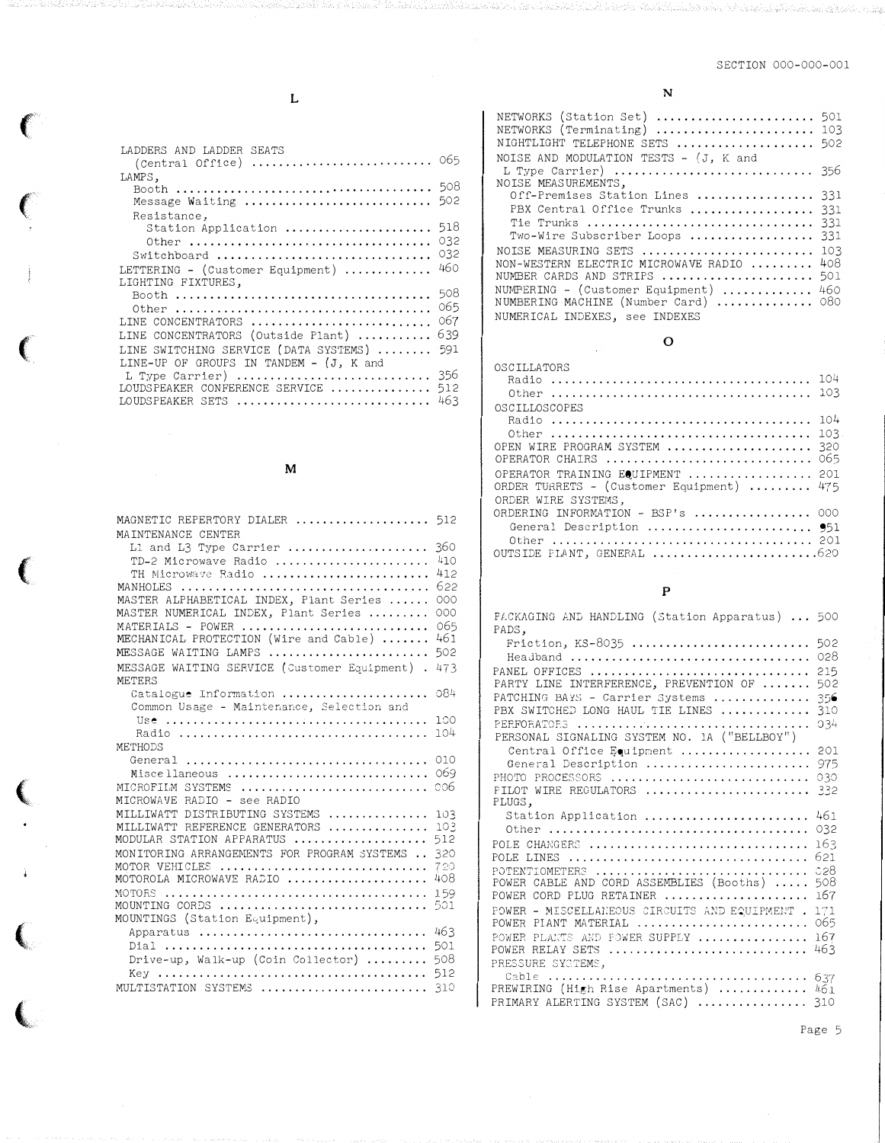L

 $\big($ 

 $\left($ 

 $\frac{1}{\sqrt{2}}$ 

 $\left($ 

 $\left($ 

 $\downarrow$ 

{

 $\overline{\mathbf{C}}$ 

| LADDERS AND LADDER SEATS                          |            |
|---------------------------------------------------|------------|
| LAMPS,                                            | 508        |
| Message Waiting                                   | 502        |
| Resistance,                                       |            |
| Station Application                               | 518        |
|                                                   | 032<br>032 |
| Switchboard<br>LETTERING - (Customer Equipment)   | 460        |
| LIGHTING FIXTURES,                                |            |
|                                                   | 508        |
|                                                   | 065        |
| LINE CONCENTRATORS                                | 067        |
| LINE CONCENTRATORS (Outside Plant)                | 639        |
| LINE SWITCHING SERVICE (DATA SYSTEMS)             | 591        |
| LINE-UP OF GROUPS IN TANDEM - (J, K and           | 356        |
| L Type Carrier)<br>LOUDSPEAKER CONFERENCE SERVICE | 512        |
| LOUDSPEAKER SETS                                  | 463        |

# M

| MAGNETIC REPERTORY DIALER  512<br>MAINTENANCE CENTER                                                                                                                                                                                                                                             |                                                                    |
|--------------------------------------------------------------------------------------------------------------------------------------------------------------------------------------------------------------------------------------------------------------------------------------------------|--------------------------------------------------------------------|
| L1 and L3 Type Carrier<br>TD-2 Microwave Radio<br>TH Microwave Radio<br>MASTER ALPHABETICAL INDEX, Plant Series<br>MASTER NUMERICAL INDEX, Plant Series<br>MATERIALS - POWER<br>MECHANICAL PROTECTION (Wire and Cable)<br>MESSAGE WAITING LAMPS<br>MESSAGE WAITING SERVICE (Customer Equipment). | 360<br>410<br>412<br>622<br>000<br>000<br>065<br>461<br>502<br>473 |
| METERS<br>Catalogue Information                                                                                                                                                                                                                                                                  | 084                                                                |
| Common Usage - Maintenance, Selection and<br>Use<br>METHODS                                                                                                                                                                                                                                      | 100<br>104.                                                        |
| Miscellaneous<br>MICROFILM SYSTEMS<br>MICROWAVE RADIO - see RADIO                                                                                                                                                                                                                                | 010<br>069<br>006                                                  |
| MILLIWATT DISTRIBUTING SYSTEMS<br>MILLIWATT REFERENCE GENERATORS<br>MODULAR STATION APPARATUS<br>MONITORING ARRANGEMENTS FOR PROGRAM SYSTEMS<br>MOTOR VEHICLES<br>MOTOROLA MICROWAVE RADIO                                                                                                       | 103<br>103<br>512<br>320<br>720<br>408                             |
| MOTORS<br>MOUNTING CORDS<br>MOUNTINGS (Station Equipment),                                                                                                                                                                                                                                       | 159<br>501                                                         |
| Apparatus<br>Drive-up, Walk-up (Coin Collector)<br>MULTISTATION SYSTEMS                                                                                                                                                                                                                          | 463<br>501<br>508<br>512<br>310                                    |

| NETWORKS (Station Set)  501<br>NETWORKS (Terminating)  103<br>NIGHTLIGHT TELEPHONE SETS  502<br>NOISE AND MODULATION TESTS - (J, K and                                                                          |            |
|-----------------------------------------------------------------------------------------------------------------------------------------------------------------------------------------------------------------|------------|
| L Type Carrier) $\ldots \ldots \ldots \ldots \ldots \ldots \ldots \ldots$ 356<br>NOISE MEASUREMENTS,                                                                                                            |            |
| Off-Premises Station Lines  331<br>PBX Central Office Trunks  331<br>Tie Trunks  331<br>Two-Wire Subscriber Loops  331                                                                                          |            |
| NOISE MEASURING SETS<br>NON-WESTERN ELECTRIC MICROWAVE RADIO<br>NUMBER CARDS AND STRIPS  501<br>NUMBERING - (Customer Equipment)  460<br>NUMBERING MACHINE (Number Card)  080<br>NUMERICAL INDEXES, see INDEXES | 103<br>408 |

## 0

| OSCILLATORS<br>Other $\ldots \ldots \ldots \ldots \ldots \ldots \ldots \ldots \ldots \ldots$ | 104<br>103 |
|----------------------------------------------------------------------------------------------|------------|
| OSCILLOSCOPES                                                                                |            |
|                                                                                              | 104        |
| Other $\ldots \ldots \ldots \ldots \ldots \ldots \ldots \ldots \ldots \ldots$                | 103        |
| OPEN WIRE PROGRAM SYSTEM                                                                     | 320        |
| OPERATOR CHAIRS                                                                              | 065        |
| OPERATOR TRAINING EQUIPMENT  201                                                             |            |
| ORDER TURRETS - (Customer Equipment)  475                                                    |            |
| ORDER WIRE SYSTEMS.                                                                          |            |
| ORDERING INFORMATION - BSP's  000                                                            |            |
| General Description  951                                                                     |            |
|                                                                                              |            |
| OUTSIDE PLANT, GENERAL 620                                                                   |            |

# p

| PACKAGING AND HANDLING (Station Apparatus)  500                   |            |
|-------------------------------------------------------------------|------------|
| PADS,                                                             |            |
| Friction, $KS-8035$                                               | 502        |
| Headband                                                          | 028        |
| PANEL OFFICES                                                     | 215        |
| PARTY LINE INTERFERENCE, PREVENTION OF                            | 502        |
| PATCHING BAYS - Carrier Systems                                   | 356        |
| PBX SWITCHED LONG HAUL TIE LINES                                  | 310        |
| PERFORATORS                                                       | $-334$     |
| PERSONAL SIGNALING SYSTEM NO. 1A ("BELLBOY")                      |            |
| Central Office Equipment                                          | 201        |
| General Description                                               | 975        |
| PHOTO PROCESSORS                                                  | 030        |
| PILOT WIRE REGULATORS                                             | 332        |
| PLUGS.                                                            |            |
|                                                                   |            |
| Station Application                                               | 461        |
|                                                                   | 032        |
| POLE CHANGERS                                                     | 163        |
| POLE LINES                                                        | 621        |
| POTENTIOMETERS                                                    | 0.28       |
| POWER CABLE AND CORD ASSEMBLIES (Booths)                          | 508        |
| POWER CORD PLUG RETAINER                                          | 167        |
| POWER - MISCELLANEOUS SIRCUITS AND EQUIPMENT.                     | 171        |
| POWER PIANT MATERIAL                                              | 065        |
| POWER PLANTS AND FOWER SUPPLY                                     | 167        |
| POWER RELAY SETS                                                  | 463        |
| PRESSURE SYCTEMS.                                                 |            |
|                                                                   | 637        |
| PREWIRING (High Rise Apartments)<br>PRIMARY ALERTING SYSTEM (SAC) | 461<br>310 |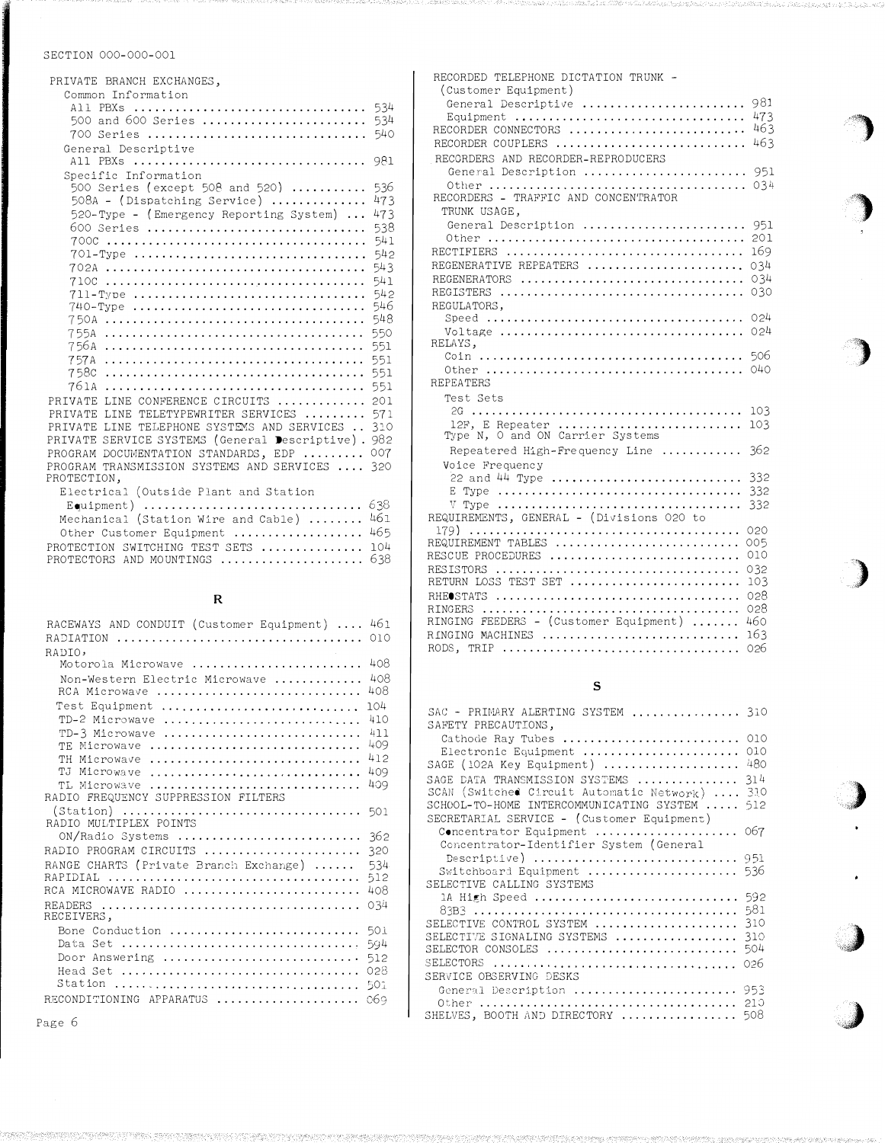| PRIVATE BRANCH EXCHANGES,                                                                                                                                                                                                                                                                                                                                                                                                                                                                                                     |                                                                                                                                                 |
|-------------------------------------------------------------------------------------------------------------------------------------------------------------------------------------------------------------------------------------------------------------------------------------------------------------------------------------------------------------------------------------------------------------------------------------------------------------------------------------------------------------------------------|-------------------------------------------------------------------------------------------------------------------------------------------------|
| Common Information<br>500 and 600 Series<br>700 Series                                                                                                                                                                                                                                                                                                                                                                                                                                                                        | 534<br>534<br>540                                                                                                                               |
| General Descriptive<br>All PBXs                                                                                                                                                                                                                                                                                                                                                                                                                                                                                               | 981                                                                                                                                             |
| Specific Information<br>500 Series (except 508 and 520)<br>$508A - (Dispatching Service)$<br>520-Type - (Emergency Reporting System)<br>600 Series<br>701-Type<br>$711 - Type$<br>740-Type<br>755A<br>756A<br>758c<br>761A<br>LINE CONFERENCE CIRCUITS<br>PRIVATE<br>TELETYPEWRITER SERVICES<br>PRIVATE<br>LTNE.<br>TELEPHONE SYSTEMS AND SERVICES<br>LINE<br><b>PRIVATE</b><br>SERVICE SYSTEMS (General Descriptive). 982<br>PRIVATE<br>PROGRAM DOCUMENTATION STANDARDS, EDP<br>TRANSMISSION SYSTEMS AND SERVICES<br>PROGRAM | 536<br>473<br>473<br>538<br>541<br>542<br>543<br>541<br>542<br>546<br>548<br>550<br>551<br>551<br>551<br>551<br>201<br>571<br>310<br>007<br>320 |
| PROTECTION,<br>Electrical (Outside Plant and Station                                                                                                                                                                                                                                                                                                                                                                                                                                                                          |                                                                                                                                                 |

| Liectrical (Outside riant and Station    |  |
|------------------------------------------|--|
|                                          |  |
| Mechanical (Station Wire and Cable)  461 |  |
| Other Customer Equipment  465            |  |
| PROTECTION SWITCHING TEST SETS  104      |  |
| PROTECTORS AND MOUNTINGS  638            |  |

# R

| RACEWAYS AND CONDUIT (Customer Equipment) | 461 |
|-------------------------------------------|-----|
|                                           | 010 |
| RADIO,                                    |     |
| Motorola Microwave                        | 408 |
| Non-Western Electric Microwave            | 408 |
| RCA Microwave                             | 408 |
| Test Equipment                            | 104 |
| TD-2 Microwave                            | 410 |
| TD-3 Microwave                            | 411 |
| TE Microwave                              | 409 |
| TH Microwave                              | 412 |
| Microwave<br>T.T                          | 409 |
| TL Microwave                              | 409 |
| RADIO FREQUENCY SUPPRESSION FILTERS       |     |
| (Station)  501                            |     |
| RADIO MULTIPLEX POINTS                    |     |
| ON/Radio Systems                          | 362 |
| RADIO PROGRAM CIRCUITS                    | 320 |
| RANGE CHARTS (Private Branch Exchange)    | 534 |
|                                           | 512 |
| RCA MICROWAVE RADIO                       | 408 |
| RECEIVERS,                                | 034 |
| Bone Conduction                           | 501 |
|                                           | 594 |
| Door Answering                            | 512 |
|                                           | 028 |
|                                           | 501 |
| RECONDITIONING APPARATUS                  | 069 |
|                                           |     |

| RECORDED TELEPHONE DICTATION TRUNK -      |     |
|-------------------------------------------|-----|
| (Customer Equipment)                      |     |
| General Descriptive                       | 981 |
| Equipment                                 | 473 |
| RECORDER CONNECTORS                       | 463 |
| RECORDER COUPLERS                         | 463 |
| RECORDERS AND RECORDER-REPRODUCERS        |     |
| General Description  951                  |     |
|                                           | 034 |
| RECORDERS - TRAFFIC AND CONCENTRATOR      |     |
| TRUNK USAGE.                              |     |
| General Description                       | 951 |
| Other                                     | 201 |
| RECTIFIERS                                | 169 |
| REGENERATIVE REPEATERS                    | 034 |
|                                           | 034 |
|                                           | 030 |
| REGULATORS.                               |     |
|                                           | 024 |
|                                           | 024 |
| RELAYS,                                   |     |
|                                           | 506 |
|                                           | 040 |
| <b>REPEATERS</b>                          |     |
| Test Sets                                 |     |
|                                           | 103 |
| 12F, E Repeater                           | 103 |
| Type N, O and ON Carrier Systems          |     |
| Repeatered High-Frequency Line            | 362 |
| Voice Frequency                           |     |
| 22 and 44 Type                            | 332 |
|                                           | 332 |
| V Type                                    | 332 |
| REQUIREMENTS, GENERAL - (Divisions 020 to |     |
|                                           | 020 |
| REQUIREMENT TABLES                        | 005 |
| RESCUE PROCEDURES                         | 010 |
|                                           | 032 |
| RETURN LOSS TEST SET                      | 103 |
|                                           | 028 |
|                                           | 028 |
| RINGING FEEDERS - (Customer Equipment)    | 460 |
| RINGING MACHINES                          | 163 |
| RODS, TRIP                                | 026 |
|                                           |     |

•'l

1

## s

| $SAC - PRIMARY ALERTING SYSTEM  \dots \dots \dots \dots$ 310                          |     |
|---------------------------------------------------------------------------------------|-----|
| SAFETY PRECAUTIONS,<br>Cathode Ray Tubes  010                                         |     |
| Electronic Equipment                                                                  | 010 |
| SAGE (102A Key Equipment)  480                                                        |     |
|                                                                                       |     |
| SAGE DATA TRANSMISSION SYSTEMS  314<br>SCAN (Switched Circuit Automatic Network)  310 |     |
| SCHOOL-TO-HOME INTERCOMMUNICATING SYSTEM  512                                         |     |
| SECRETARIAL SERVICE - (Customer Equipment)                                            |     |
| Concentrator Equipment  067                                                           |     |
| Concentrator-Identifier System (General                                               |     |
| Descriptive) $\ldots \ldots \ldots \ldots \ldots \ldots \ldots \ldots \ldots$ 951     |     |
| Switchboard Equipment  536                                                            |     |
| SELECTIVE CALLING SYSTEMS                                                             |     |
| 1A High Speed  592                                                                    |     |
|                                                                                       |     |
| SELECTIVE CONTROL SYSTEM  310                                                         |     |
| SELECTIVE SIGNALING SYSTEMS  310                                                      |     |
| SELECTOR CONSOLES $\,\ldots\ldots\ldots\ldots\ldots\ldots\ldots\ldots\ldots\,504$     |     |
|                                                                                       |     |
| SERVICE OBSERVING DESKS                                                               |     |
| General Description  953                                                              |     |
|                                                                                       |     |
| SHELVES, BOOTH AND DIRECTORY  508                                                     |     |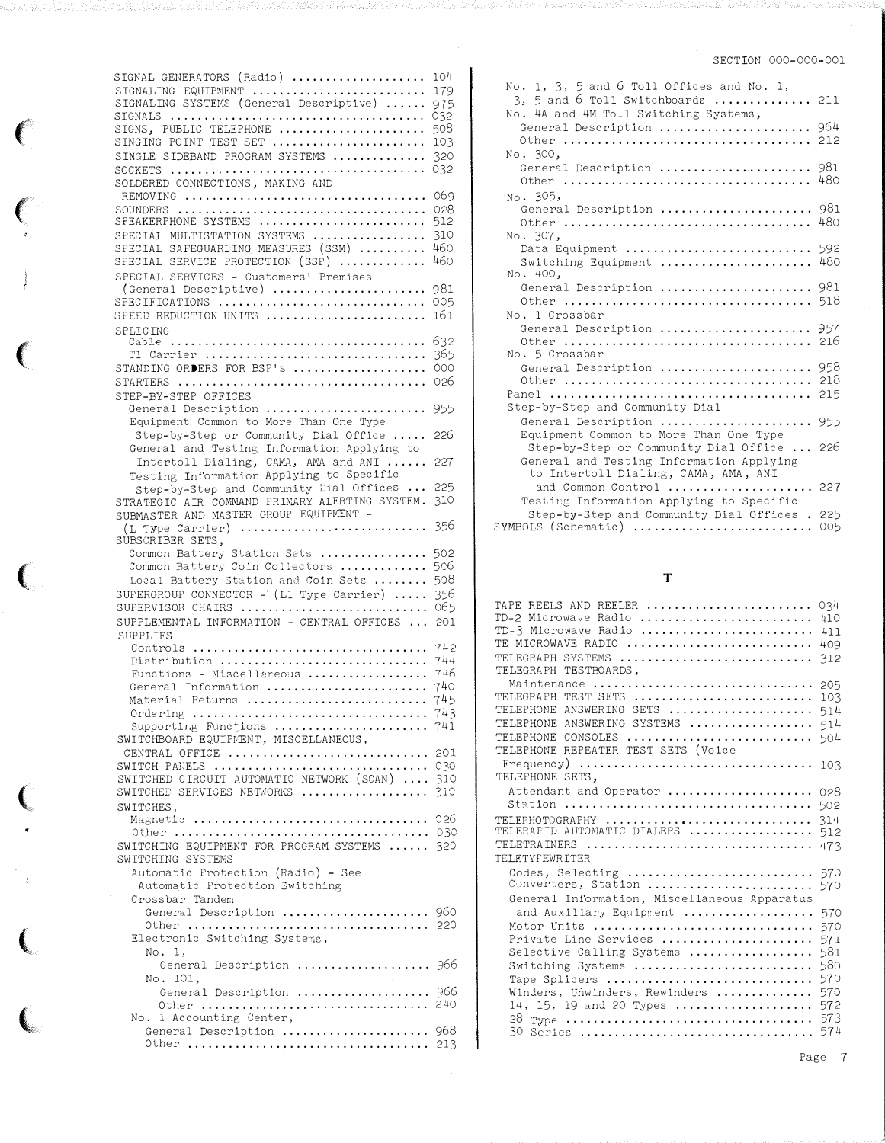| SIGNAL GENERATORS (Radio)                                                                                                                                                                                                                                                                                                                                                                                                                                                                                          | 104        |
|--------------------------------------------------------------------------------------------------------------------------------------------------------------------------------------------------------------------------------------------------------------------------------------------------------------------------------------------------------------------------------------------------------------------------------------------------------------------------------------------------------------------|------------|
| SIGNALING EQUIPMENT                                                                                                                                                                                                                                                                                                                                                                                                                                                                                                | 179        |
| SIGNALING SYSTEMS (General Descriptive)                                                                                                                                                                                                                                                                                                                                                                                                                                                                            | 975        |
|                                                                                                                                                                                                                                                                                                                                                                                                                                                                                                                    | 032        |
| SIGNS, PUBLIC TELEPHONE                                                                                                                                                                                                                                                                                                                                                                                                                                                                                            | 508        |
| SINGING POINT TEST SET<br>SINGLE SIDEBAND PROGRAM SYSTEMS                                                                                                                                                                                                                                                                                                                                                                                                                                                          | 103<br>320 |
|                                                                                                                                                                                                                                                                                                                                                                                                                                                                                                                    | 032        |
| SOLDERED CONNECTIONS, MAKING AND                                                                                                                                                                                                                                                                                                                                                                                                                                                                                   |            |
| REMOVING                                                                                                                                                                                                                                                                                                                                                                                                                                                                                                           | 069        |
|                                                                                                                                                                                                                                                                                                                                                                                                                                                                                                                    | 028        |
| SPEAKERPHONE SYSTEMS                                                                                                                                                                                                                                                                                                                                                                                                                                                                                               | 512        |
| SPECIAL MULTISTATION SYSTEMS<br>SPECIAL SAFEGUARDING MEASURES (SSM)                                                                                                                                                                                                                                                                                                                                                                                                                                                | 310<br>460 |
| SPECIAL SERVICE PROTECTION (SSP)                                                                                                                                                                                                                                                                                                                                                                                                                                                                                   | 460        |
| SPECIAL SERVICES - Customers' Premises                                                                                                                                                                                                                                                                                                                                                                                                                                                                             |            |
| (General Descriptive)                                                                                                                                                                                                                                                                                                                                                                                                                                                                                              | 981        |
| SPECIFICATIONS                                                                                                                                                                                                                                                                                                                                                                                                                                                                                                     | 005        |
| SPEED REDUCTION UNITS                                                                                                                                                                                                                                                                                                                                                                                                                                                                                              | 161        |
| SPLICING                                                                                                                                                                                                                                                                                                                                                                                                                                                                                                           | 632        |
|                                                                                                                                                                                                                                                                                                                                                                                                                                                                                                                    | 365        |
| STANDING ORDERS FOR BSP's                                                                                                                                                                                                                                                                                                                                                                                                                                                                                          | 000        |
|                                                                                                                                                                                                                                                                                                                                                                                                                                                                                                                    | 026        |
| STEP-BY-STEP OFFICES                                                                                                                                                                                                                                                                                                                                                                                                                                                                                               |            |
| General Description  955                                                                                                                                                                                                                                                                                                                                                                                                                                                                                           |            |
| Equipment Common to More Than One Type                                                                                                                                                                                                                                                                                                                                                                                                                                                                             |            |
| Step-by-Step or Community Dial Office                                                                                                                                                                                                                                                                                                                                                                                                                                                                              | 226        |
| General and Testing Information Applying to<br>Intertoll Dialing, CAMA, AMA and ANI                                                                                                                                                                                                                                                                                                                                                                                                                                | 227        |
| Testing Information Applying to Specific                                                                                                                                                                                                                                                                                                                                                                                                                                                                           |            |
| Step-by-Step and Community Dial Offices                                                                                                                                                                                                                                                                                                                                                                                                                                                                            | 225        |
| STRATEGIC AIR COMMAND PRIMARY ALERTING SYSTEM.                                                                                                                                                                                                                                                                                                                                                                                                                                                                     | 310        |
| SUBMASTER AND MASTER GROUP EQUIPMENT -                                                                                                                                                                                                                                                                                                                                                                                                                                                                             |            |
| $(L$ Type Carrier)<br>SUBSCRIBER SETS,                                                                                                                                                                                                                                                                                                                                                                                                                                                                             | 356        |
| Common Battery Station Sets                                                                                                                                                                                                                                                                                                                                                                                                                                                                                        | 502        |
| Common Battery Coin Collectors                                                                                                                                                                                                                                                                                                                                                                                                                                                                                     | 506        |
| Local Battery Station and Coin Sets                                                                                                                                                                                                                                                                                                                                                                                                                                                                                | 508        |
| SUPERGROUP CONNECTOR - (L1 Type Carrier)                                                                                                                                                                                                                                                                                                                                                                                                                                                                           | 356        |
| SUPERVISOR CHAIRS                                                                                                                                                                                                                                                                                                                                                                                                                                                                                                  | 065        |
| SUPPLEMENTAL INFORMATION - CENTRAL OFFICES                                                                                                                                                                                                                                                                                                                                                                                                                                                                         | 201        |
| <b>SUPPLIES</b><br>$Contents \ldots \ldots \ldots \ldots \ldots \ldots \ldots \ldots$                                                                                                                                                                                                                                                                                                                                                                                                                              | 742        |
| Distribution                                                                                                                                                                                                                                                                                                                                                                                                                                                                                                       | 744        |
| Functions - Miscellaneous                                                                                                                                                                                                                                                                                                                                                                                                                                                                                          | 746        |
| General Information                                                                                                                                                                                                                                                                                                                                                                                                                                                                                                | 740        |
| Material Returns                                                                                                                                                                                                                                                                                                                                                                                                                                                                                                   | 745        |
| $\begin{minipage}[c]{0.00\linewidth} \textbf{Ordering} \end{minipage}[t]{\begin{minipage}[c]{0.00\linewidth} \textbf{Ordering} \end{minipage}[t]{\begin{minipage}[c]{0.00\linewidth} \textbf{Ordering} \end{minipage}[t]{\begin{minipage}[c]{0.00\linewidth} \textbf{Ordering} \end{minipage}[t]{\begin{minipage}[c]{0.00\linewidth} \textbf{Ordering} \end{minipage}[t]{\begin{minipage}[c]{0.00\linewidth} \textbf{Ordering} \end{minipage}[t]{\begin{minipage}[c]{0.00\linewidth} \textbf{Ordering} \end{minip$ | 743        |
| Supporting Functions  741<br>SWITCHBOARD EQUIPMENT, MISCELLANEOUS,                                                                                                                                                                                                                                                                                                                                                                                                                                                 |            |
| CENTRAL OFFICE  201                                                                                                                                                                                                                                                                                                                                                                                                                                                                                                |            |
| SWITCH PANELS  030                                                                                                                                                                                                                                                                                                                                                                                                                                                                                                 |            |
| SWITCHED CIRCUIT AUTOMATIC NETWORK (SCAN)  310                                                                                                                                                                                                                                                                                                                                                                                                                                                                     |            |
| SWITCHED SERVICES NETWORKS  310                                                                                                                                                                                                                                                                                                                                                                                                                                                                                    |            |
| SWITCHES,<br>Magnetic  026                                                                                                                                                                                                                                                                                                                                                                                                                                                                                         |            |
|                                                                                                                                                                                                                                                                                                                                                                                                                                                                                                                    |            |
| SWITCHING EQUIPMENT FOR PROGRAM SYSTEMS  320                                                                                                                                                                                                                                                                                                                                                                                                                                                                       |            |
| SWITCHING SYSTEMS                                                                                                                                                                                                                                                                                                                                                                                                                                                                                                  |            |
| Automatic Protection (Radio) - See                                                                                                                                                                                                                                                                                                                                                                                                                                                                                 |            |
| Automatic Protection Switching                                                                                                                                                                                                                                                                                                                                                                                                                                                                                     |            |
| Crossbar Tandem<br>General Description  960                                                                                                                                                                                                                                                                                                                                                                                                                                                                        |            |
|                                                                                                                                                                                                                                                                                                                                                                                                                                                                                                                    |            |
| Electronic Switching Systems,                                                                                                                                                                                                                                                                                                                                                                                                                                                                                      |            |
| No. 1,                                                                                                                                                                                                                                                                                                                                                                                                                                                                                                             |            |
| General Description  966                                                                                                                                                                                                                                                                                                                                                                                                                                                                                           |            |
| No. 101,                                                                                                                                                                                                                                                                                                                                                                                                                                                                                                           |            |
|                                                                                                                                                                                                                                                                                                                                                                                                                                                                                                                    |            |
| General Description  966                                                                                                                                                                                                                                                                                                                                                                                                                                                                                           |            |
| No. 1 Accounting Center,                                                                                                                                                                                                                                                                                                                                                                                                                                                                                           |            |
| General Description  968                                                                                                                                                                                                                                                                                                                                                                                                                                                                                           |            |

 $\left($ 

: 오늘 부분 무엇이 보니까지 하나 저가님의 하나 있는 모든 모

 $\left($ 

 $\epsilon$ 

 $\left($ 

(

 $\left($ 

 $\big($ 

| No. 1, 3, 5 and 6 Toll Offices and No. 1,<br>$3, 5$ and 6 Toll Switchboards  211<br>No. 4A and 4M Toll Switching Systems,<br>General Description  964     |                   |
|-----------------------------------------------------------------------------------------------------------------------------------------------------------|-------------------|
| No. 300,<br>General Description<br>Other $\ldots \ldots \ldots \ldots \ldots \ldots \ldots \ldots \ldots \ldots$                                          | 981<br>480        |
| No. 305,<br>General Description                                                                                                                           | 981<br>480        |
| No. 307,<br>Data Equipment<br>Switching Equipment<br>No. 400,                                                                                             | 592<br>480        |
| General Description<br>Other $\ldots \ldots \ldots \ldots \ldots \ldots \ldots \ldots \ldots$                                                             | 981<br>518        |
| No. 1 Crossbar<br>General Description  957<br>Other $\ldots \ldots \ldots \ldots \ldots \ldots \ldots \ldots \ldots$                                      | 216               |
| No. 5 Crossbar<br>General Description<br>Other $\ldots \ldots \ldots \ldots \ldots \ldots \ldots \ldots \ldots \ldots$<br>Step-by-Step and Community Dial | 958<br>218<br>215 |
| General Description<br>Equipment Common to More Than One Type                                                                                             | 955               |
| Step-by-Step or Community Dial Office<br>General and Testing Information Applying<br>to Intertoll Dialing, CAMA, AMA, ANI                                 | 226               |
| and Common Control  227<br>Testing Information Applying to Specific                                                                                       |                   |
| Step-by-Step and Community Dial Offices. 225<br>SYMBOLS (Schematic)                                                                                       | 005               |

# T

| TAPE REELS AND REELER                        | 034 |
|----------------------------------------------|-----|
| TD-2 Microwave Radio                         | 410 |
| TD-3 Microwave Radio                         | 411 |
| TE MICROWAVE RADIO                           | 409 |
| TELEGRAPH SYSTEMS                            | 312 |
| TELEGRAPH TESTBOARDS.                        |     |
| Maintenance                                  | 205 |
| TELEGRAPH TEST SETS                          | 103 |
| TELEPHONE ANSWERING SETS                     | 514 |
| TELEPHONE ANSWERING SYSTEMS                  | 514 |
| TELEPHONE CONSOLES                           | 504 |
| TELEPHONE REPEATER TEST SETS (Voice          |     |
|                                              |     |
| TELEPHONE SETS,                              | 103 |
|                                              |     |
| Attendant and Operator                       | 028 |
|                                              | 502 |
| TELEPHOTOGRAPHY                              | 314 |
| TELERAPID AUTOMATIC DIALERS                  | 512 |
| TELETRAINERS                                 | 473 |
| TELETYPEWRITER                               |     |
| Codes, Selecting                             | 570 |
| Converters, Station                          | 570 |
| General Information, Miscellaneous Apparatus |     |
| and Auxiliary Equipment                      | 570 |
| Motor Units                                  | 570 |
| Private Line Services                        | 571 |
| Selective Calling Systems                    | 581 |
| Switching Systems                            | 580 |
| Tape Splicers                                | 570 |
| Winders, Unwinders, Rewinders                | 570 |
| 14, 15, 19 and 20 Types                      | 572 |
|                                              | 573 |
|                                              | 574 |
| 30 Series                                    |     |

Page 7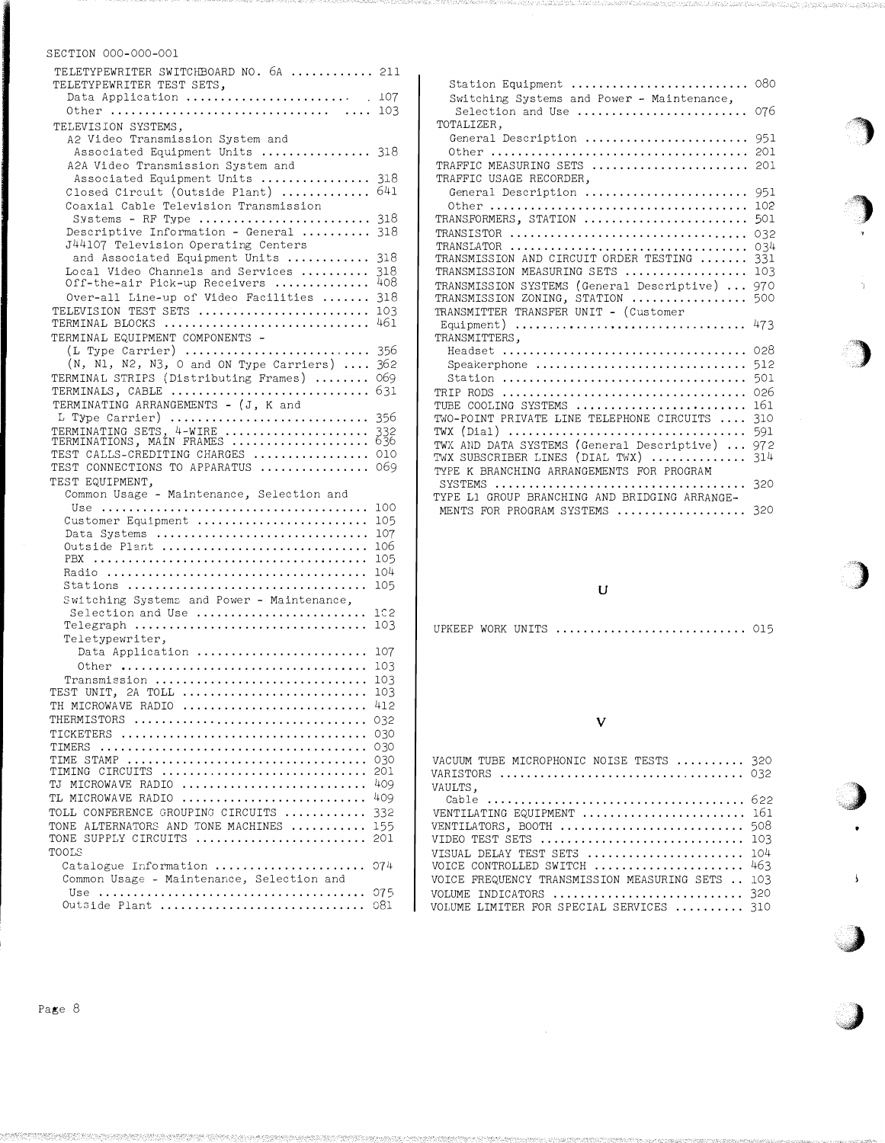| TELETYPEWRITER SWITCHBOARD NO. 6A  211<br>TELETYPEWRITER TEST SETS,                                                          |
|------------------------------------------------------------------------------------------------------------------------------|
| Data Application  107                                                                                                        |
| TELEVISION SYSTEMS,<br>A2 Video Transmission System and                                                                      |
| Associated Equipment Units  318<br>A2A Video Transmission System and                                                         |
| 318<br>Associated Equipment Units<br>641<br>Closed Circuit (Outside Plant)<br>Coaxial Cable Television Transmission          |
| Systems - RF Type<br>318<br>Descriptive Information - General<br>318                                                         |
| J44107 Television Operating Centers<br>and Associated Equipment Units<br>318<br>Local Video Channels and Services            |
| 318<br>408<br>Off-the-air Pick-up Receivers<br>Over-all Line-up of Video Facilities<br>318                                   |
| TELEVISION TEST SETS<br>103<br>461<br>TERMINAL BLOCKS                                                                        |
| TERMINAL EQUIPMENT COMPONENTS -<br>$(L$ Type Carrier)<br>356                                                                 |
| $(N, N1, N2, N3, O and ON Type Carriers) $<br>362<br>069<br>TERMINAL STRIPS (Distributing Frames)<br>631<br>TERMINALS, CABLE |
| TERMINATING ARRANGEMENTS - (J, K and<br>L Type Carrier)<br>356                                                               |
| TERMINATING SETS, 4-WIRE<br>332<br>TERMINATIONS, MAIN FRAMES<br>636                                                          |
| TEST CALLS-CREDITING CHARGES<br>010<br>TEST CONNECTIONS TO APPARATUS<br>069                                                  |
| TEST EQUIPMENT,<br>Common Usage - Maintenance, Selection and                                                                 |
| 100<br>Customer Equipment<br>105                                                                                             |
| Data Systems<br>107                                                                                                          |
| Outside Plant<br>106<br>105                                                                                                  |
| 104                                                                                                                          |
| 105<br>Stations<br>Switching Systems and Power - Maintenance,                                                                |
| Selection and Use<br>1C2                                                                                                     |
| $Telegraph$<br>103<br>Teletypewriter,                                                                                        |
| Data Application<br>107                                                                                                      |
| Other $\dots\dots\dots\dots\dots\dots\dots\dots\dots\dots\dots\dots\dots\dots$<br>103                                        |
| Transmission<br>103<br>TEST UNIT, 2A TOLL<br>103                                                                             |
| 412<br>TH MICROWAVE RADIO                                                                                                    |
| THERMISTORS<br>032                                                                                                           |
| 030                                                                                                                          |
| 030<br>TIMERS $\ldots \ldots \ldots \ldots \ldots \ldots \ldots \ldots \ldots \ldots \ldots \ldots$<br>TIME STAMP<br>030     |
| TIMING CIRCUITS<br>201                                                                                                       |
| TJ MICROWAVE RADIO<br>409                                                                                                    |
| TL MICROWAVE RADIO<br>409                                                                                                    |
|                                                                                                                              |
| TOLL CONFERENCE GROUPING CIRCUITS<br>332                                                                                     |
| TONE ALTERNATORS AND TONE MACHINES<br>155<br>TONE SUPPLY CIRCUITS<br>201                                                     |
| TOOLS                                                                                                                        |
| Catalogue Information<br>074<br>Common Usage - Maintenance, Selection and<br>075                                             |

| Station Equipment                                               | 080        |
|-----------------------------------------------------------------|------------|
| Switching Systems and Power - Maintenance,<br>Selection and Use | 076        |
| TOTALIZER,                                                      |            |
| General Description                                             | 951        |
|                                                                 | 201        |
| TRAFFIC MEASURING SETS                                          | 201        |
| TRAFFIC USAGE RECORDER.                                         |            |
| General Description                                             | 951        |
|                                                                 | 102        |
| TRANSFORMERS, STATION                                           | 501        |
| TRANSISTOR                                                      | 032        |
| TRANSLATOR<br>TRANSMISSION AND CIRCUIT ORDER TESTING            | 034        |
| TRANSMISSION MEASURING SETS                                     | 331<br>103 |
| TRANSMISSION SYSTEMS (General Descriptive)                      |            |
| TRANSMISSION ZONING, STATION                                    | 970<br>500 |
| TRANSMITTER TRANSFER UNIT - (Customer                           |            |
| Equipment)                                                      | 473        |
| TRANSMITTERS,                                                   |            |
|                                                                 | 028        |
| Speakerphone                                                    | 512        |
|                                                                 | 501        |
| TRIP RODS                                                       | 026        |
| TUBE COOLING SYSTEMS                                            | 161        |
| TWO-POINT PRIVATE LINE TELEPHONE CIRCUITS                       | 310        |
| TWX (Dial)                                                      | 591        |
| TWX AND DATA SYSTEMS (General Descriptive)                      | 972        |
| TWX SUBSCRIBER LINES (DIAL TWX)                                 | 314        |
| TYPE K BRANCHING ARRANGEMENTS FOR PROGRAM                       |            |
| SYSTEMS                                                         | 320        |
| TYPE L1 GROUP BRANCHING AND BRIDGING ARRANGE-                   |            |
| MENTS FOR PROGRAM SYSTEMS                                       | 320        |

u

UPKEEP WORK UNITS ............................ 015

#### v

| VACUUM TUBE MICROPHONIC NOISE TESTS  320                           |  |
|--------------------------------------------------------------------|--|
| VAULTS,                                                            |  |
| VENTILATING EQUIPMENT  161                                         |  |
| VENTILATORS, BOOTH  508                                            |  |
| VISUAL DELAY TEST SETS  104                                        |  |
| VOICE CONTROLLED SWITCH  463                                       |  |
| VOICE FREQUENCY TRANSMISSION MEASURING SETS  103                   |  |
| VOLUME INDICATORS  320<br>VOLUME LIMITER FOR SPECIAL SERVICES  310 |  |
|                                                                    |  |

'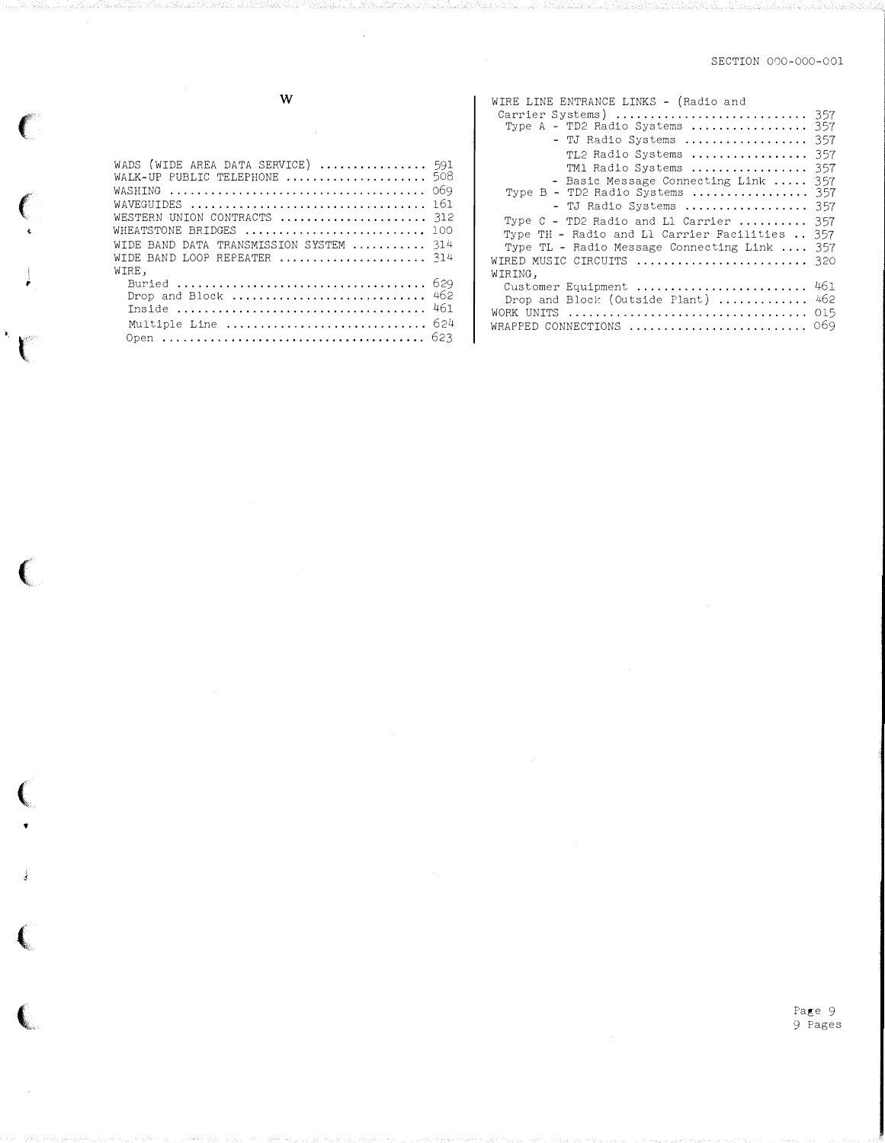$\mathbf{W}$ 

 $\big($ 

 $\mathbf{k}_i$  $\mathbf{C}$ 

€

 $\sim$ 

| WADS (WIDE AREA DATA SERVICE)  591<br>WAVEGUIDES<br>WESTERN UNTON CONTRACTS<br>WHEATSTONE BRIDGES<br>WIDE BAND DATA TRANSMISSION SYSTEM $314$<br>WIDE BAND LOOP REPEATER  314 | 069<br>161<br>312<br>100 |
|-------------------------------------------------------------------------------------------------------------------------------------------------------------------------------|--------------------------|
| WIRE.<br>Drop and Block  462<br>Multiple Line  624                                                                                                                            | 461                      |

| WIRE LINE ENTRANCE LINKS - (Radio and<br>Carrier Systems)  357<br>Type A - TD2 Radio Systems  357<br>- TJ Radio Systems  357<br>TL2 Radio Systems<br>357<br>TM1 Radio Systems<br>357<br>- Basic Message Connecting Link<br>357<br>Type B - TD2 Radio Systems  357<br>- TJ Radio Systems  357<br>Type $C$ - TD2 Radio and L1 Carrier<br>357<br>Type TH - Radio and Ll Carrier Facilities  357<br>Type TL - Radio Message Connecting Link<br>357<br>WIRED MUSIC CIRCUITS $\ldots \ldots \ldots \ldots \ldots \ldots \ldots$ 320 |  |
|-------------------------------------------------------------------------------------------------------------------------------------------------------------------------------------------------------------------------------------------------------------------------------------------------------------------------------------------------------------------------------------------------------------------------------------------------------------------------------------------------------------------------------|--|
| WIRING,                                                                                                                                                                                                                                                                                                                                                                                                                                                                                                                       |  |
| 461<br>Customer Equipment<br>462<br>Drop and Block (Outside Plant)<br>015<br>WORK UNITS<br>069<br>WRAPPED CONNECTIONS                                                                                                                                                                                                                                                                                                                                                                                                         |  |